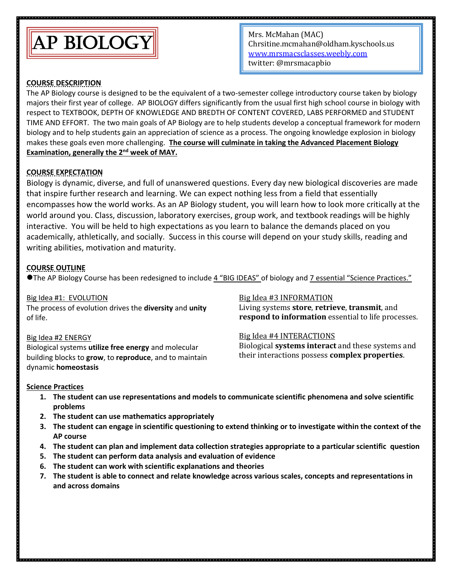

Mrs. McMahan (MAC) Chrsitine.mcmahan@oldham.kyschools.us [www.mrsmacsclasses.weebly.com](http://www.mrsmacsclasses.weebly.com/) twitter: @mrsmacapbio

### **COURSE DESCRIPTION**

The AP Biology course is designed to be the equivalent of a two-semester college introductory course taken by biology majors their first year of college. AP BIOLOGY differs significantly from the usual first high school course in biology with respect to TEXTBOOK, DEPTH OF KNOWLEDGE AND BREDTH OF CONTENT COVERED, LABS PERFORMED and STUDENT TIME AND EFFORT. The two main goals of AP Biology are to help students develop a conceptual framework for modern biology and to help students gain an appreciation of science as a process. The ongoing knowledge explosion in biology makes these goals even more challenging. **The course will culminate in taking the Advanced Placement Biology Examination, generally the 2nd week of MAY.**

## **COURSE EXPECTATION**

Biology is dynamic, diverse, and full of unanswered questions. Every day new biological discoveries are made that inspire further research and learning. We can expect nothing less from a field that essentially encompasses how the world works. As an AP Biology student, you will learn how to look more critically at the world around you. Class, discussion, laboratory exercises, group work, and textbook readings will be highly interactive. You will be held to high expectations as you learn to balance the demands placed on you academically, athletically, and socially. Success in this course will depend on your study skills, reading and writing abilities, motivation and maturity.

### **COURSE OUTLINE**

The AP Biology Course has been redesigned to include 4 "BIG IDEAS" of biology and 7 essential "Science Practices."

Big Idea #1: EVOLUTION The process of evolution drives the **diversity** and **unity** of life.

#### Big Idea #2 ENERGY

Biological systems **utilize free energy** and molecular building blocks to **grow**, to **reproduce**, and to maintain dynamic **homeostasis**

#### Big Idea #3 INFORMATION

Living systems **store**, **retrieve**, **transmit**, and **respond to information** essential to life processes.

### Big Idea #4 INTERACTIONS

Biological **systems interact** and these systems and their interactions possess **complex properties**.

### **Science Practices**

- **1. The student can use representations and models to communicate scientific phenomena and solve scientific problems**
- **2. The student can use mathematics appropriately**
- **3. The student can engage in scientific questioning to extend thinking or to investigate within the context of the AP course**
- **4. The student can plan and implement data collection strategies appropriate to a particular scientific question**
- **5. The student can perform data analysis and evaluation of evidence**
- **6. The student can work with scientific explanations and theories**
- **7. The student is able to connect and relate knowledge across various scales, concepts and representations in and across domains**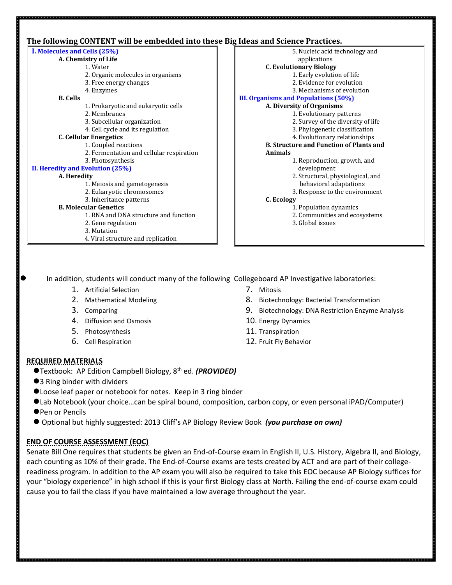## **The following CONTENT will be embedded into these Big Ideas and Science Practices.**

| I. Molecules and Cells (25%)             | 5. Nucleic acid technology and                 |
|------------------------------------------|------------------------------------------------|
| A. Chemistry of Life                     | applications                                   |
| 1. Water                                 | <b>C. Evolutionary Biology</b>                 |
| 2. Organic molecules in organisms        | 1. Early evolution of life                     |
| 3. Free energy changes                   | 2. Evidence for evolution                      |
| 4. Enzymes                               | 3. Mechanisms of evolution                     |
| <b>B.</b> Cells                          | <b>III. Organisms and Populations (50%)</b>    |
| 1. Prokaryotic and eukaryotic cells      | A. Diversity of Organisms                      |
| 2. Membranes                             | 1. Evolutionary patterns                       |
| 3. Subcellular organization              | 2. Survey of the diversity of life             |
| 4. Cell cycle and its regulation         | 3. Phylogenetic classification                 |
| <b>C. Cellular Energetics</b>            | 4. Evolutionary relationships                  |
| 1. Coupled reactions                     | <b>B. Structure and Function of Plants and</b> |
| 2. Fermentation and cellular respiration | <b>Animals</b>                                 |
| 3. Photosynthesis                        | 1. Reproduction, growth, and                   |
| II. Heredity and Evolution (25%)         | development                                    |
| A. Heredity                              | 2. Structural, physiological, and              |
| 1. Meiosis and gametogenesis             | behavioral adaptations                         |
| 2. Eukaryotic chromosomes                | 3. Response to the environment                 |
| 3. Inheritance patterns                  | C. Ecology                                     |
| <b>B. Molecular Genetics</b>             | 1. Population dynamics                         |
| 1. RNA and DNA structure and function    | 2. Communities and ecosystems                  |
| 2. Gene regulation                       | 3. Global issues                               |
| 3. Mutation                              |                                                |
| 4. Viral structure and replication       |                                                |

In addition, students will conduct many of the following Collegeboard AP Investigative laboratories:

- 1. Artificial Selection
- 2. Mathematical Modeling
- 3. Comparing
- 4. Diffusion and Osmosis
- 5. Photosynthesis
- 6. Cell Respiration
- 7. Mitosis
- 8. Biotechnology: Bacterial Transformation
- 9. Biotechnology: DNA Restriction Enzyme Analysis
- 10. Energy Dynamics
- 11. Transpiration
- 12. Fruit Fly Behavior

### **REQUIRED MATERIALS**

- Textbook: AP Edition Campbell Biology, 8th ed. *(PROVIDED)*
- ●3 Ring binder with dividers
- Loose leaf paper or notebook for notes. Keep in 3 ring binder
- Lab Notebook (your choice…can be spiral bound, composition, carbon copy, or even personal iPAD/Computer)
- **OPen or Pencils**
- Optional but highly suggested: 2013 Cliff's AP Biology Review Book *(you purchase on own)*

# **END OF COURSE ASSESSMENT (EOC)**

Senate Bill One requires that students be given an End-of-Course exam in English II, U.S. History, Algebra II, and Biology, each counting as 10% of their grade. The End-of-Course exams are tests created by ACT and are part of their collegereadiness program. In addition to the AP exam you will also be required to take this EOC because AP Biology suffices for your "biology experience" in high school if this is your first Biology class at North. Failing the end-of-course exam could cause you to fail the class if you have maintained a low average throughout the year.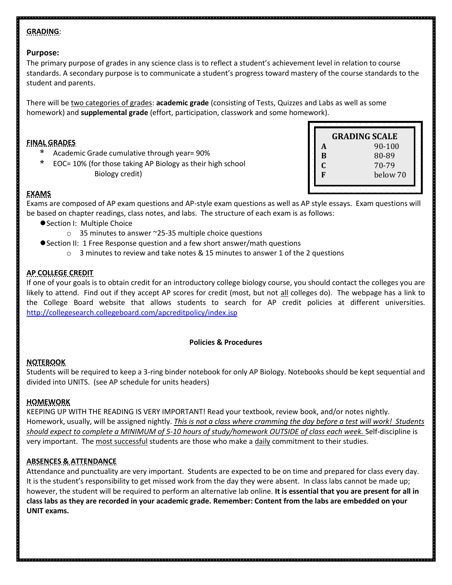# **GRADING**:

## **Purpose:**

The primary purpose of grades in any science class is to reflect a student's achievement level in relation to course standards. A secondary purpose is to communicate a student's progress toward mastery of the course standards to the student and parents.

There will be two categories of grades: **academic grade** (consisting of Tests, Quizzes and Labs as well as some homework) and **supplemental grade** (effort, participation, classwork and some homework).

## **FINAL GRADES**

- Academic Grade cumulative through year= 90%
- EOC= 10% (for those taking AP Biology as their high school Biology credit)

|    | <b>GRADING SCALE</b> |  |
|----|----------------------|--|
| A  | 90-100               |  |
| B  | 80-89                |  |
| C. | 70-79                |  |
| F  | below 70             |  |
|    |                      |  |
|    |                      |  |

## **EXAMS**

Exams are composed of AP exam questions and AP-style exam questions as well as AP style essays. Exam questions will be based on chapter readings, class notes, and labs. The structure of each exam is as follows:

- Section I: Multiple Choice
	- o 35 minutes to answer ~25-35 multiple choice questions
- Section II: 1 Free Response question and a few short answer/math questions
	- $\circ$  3 minutes to review and take notes & 15 minutes to answer 1 of the 2 questions

# **AP COLLEGE CREDIT**

If one of your goals is to obtain credit for an introductory college biology course, you should contact the colleges you are likely to attend. Find out if they accept AP scores for credit (most, but not all colleges do). The webpage has a link to the College Board website that allows students to search for AP credit policies at different universities. <http://collegesearch.collegeboard.com/apcreditpolicy/index.jsp>

## **Policies & Procedures**

# **NOTEBOOK**

Students will be required to keep a 3-ring binder notebook for only AP Biology. Notebooks should be kept sequential and divided into UNITS. (see AP schedule for units headers)

# **HOMEWORK**

KEEPING UP WITH THE READING IS VERY IMPORTANT! Read your textbook, review book, and/or notes nightly. Homework, usually, will be assigned nightly. *This is not a class where cramming the day before a test will work! Students should expect to complete a MINIMUM of 5-10 hours of study/homework OUTSIDE of class each week.* Self-discipline is very important. The most successful students are those who make a daily commitment to their studies.

## **ABSENCES & ATTENDANCE**

Attendance and punctuality are very important. Students are expected to be on time and prepared for class every day. It is the student's responsibility to get missed work from the day they were absent. In class labs cannot be made up; however, the student will be required to perform an alternative lab online. **It is essential that you are present for all in class labs as they are recorded in your academic grade. Remember: Content from the labs are embedded on your UNIT exams.**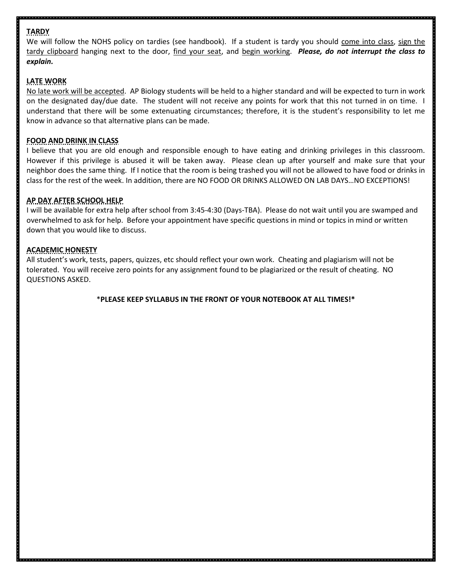# **TARDY**

We will follow the NOHS policy on tardies (see handbook). If a student is tardy you should come into class, sign the tardy clipboard hanging next to the door, find your seat, and begin working. *Please, do not interrupt the class to explain.*

# **LATE WORK**

No late work will be accepted. AP Biology students will be held to a higher standard and will be expected to turn in work on the designated day/due date. The student will not receive any points for work that this not turned in on time. I understand that there will be some extenuating circumstances; therefore, it is the student's responsibility to let me know in advance so that alternative plans can be made.

# **FOOD AND DRINK IN CLASS**

I believe that you are old enough and responsible enough to have eating and drinking privileges in this classroom. However if this privilege is abused it will be taken away. Please clean up after yourself and make sure that your neighbor does the same thing. If I notice that the room is being trashed you will not be allowed to have food or drinks in class for the rest of the week. In addition, there are NO FOOD OR DRINKS ALLOWED ON LAB DAYS…NO EXCEPTIONS!

# **AP DAY AFTER SCHOOL HELP**

I will be available for extra help after school from 3:45-4:30 (Days-TBA). Please do not wait until you are swamped and overwhelmed to ask for help. Before your appointment have specific questions in mind or topics in mind or written down that you would like to discuss.

# **ACADEMIC HONESTY**

All student's work, tests, papers, quizzes, etc should reflect your own work. Cheating and plagiarism will not be tolerated. You will receive zero points for any assignment found to be plagiarized or the result of cheating. NO QUESTIONS ASKED.

## \***PLEASE KEEP SYLLABUS IN THE FRONT OF YOUR NOTEBOOK AT ALL TIMES!\***